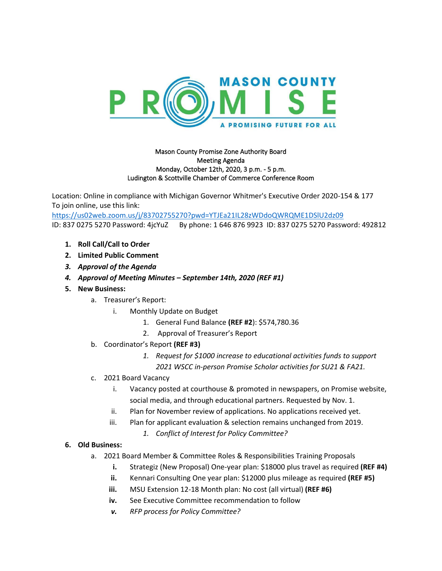

## Mason County Promise Zone Authority Board Meeting Agenda Monday, October 12th, 2020, 3 p.m. - 5 p.m. Ludington & Scottville Chamber of Commerce Conference Room

Location: Online in compliance with Michigan Governor Whitmer's Executive Order 2020-154 & 177 To join online, use this link:

<https://us02web.zoom.us/j/83702755270?pwd=YTJEa21IL28zWDdoQWRQME1DSlU2dz09> ID: 837 0275 5270 Password: 4jcYuZ By phone: 1 646 876 9923 ID: 837 0275 5270 Password: 492812

- **1. Roll Call/Call to Order**
- **2. Limited Public Comment**
- *3. Approval of the Agenda*
- *4. Approval of Meeting Minutes – September 14th, 2020 (REF #1)*
- **5. New Business:**
	- a. Treasurer's Report:
		- i. Monthly Update on Budget
			- 1. General Fund Balance **(REF #2**): \$574,780.36
			- 2. Approval of Treasurer's Report
	- b. Coordinator's Report **(REF #3)**
		- *1. Request for \$1000 increase to educational activities funds to support 2021 WSCC in-person Promise Scholar activities for SU21 & FA21.*
	- c. 2021 Board Vacancy
		- i. Vacancy posted at courthouse & promoted in newspapers, on Promise website, social media, and through educational partners. Requested by Nov. 1.
		- ii. Plan for November review of applications. No applications received yet.
		- iii. Plan for applicant evaluation & selection remains unchanged from 2019.
			- *1. Conflict of Interest for Policy Committee?*

## **6. Old Business:**

- a. 2021 Board Member & Committee Roles & Responsibilities Training Proposals
	- **i.** Strategiz (New Proposal) One-year plan: \$18000 plus travel as required **(REF #4)**
	- **ii.** Kennari Consulting One year plan: \$12000 plus mileage as required **(REF #5)**
	- **iii.** MSU Extension 12-18 Month plan: No cost (all virtual) **(REF #6)**
	- **iv.** See Executive Committee recommendation to follow
	- *v. RFP process for Policy Committee?*